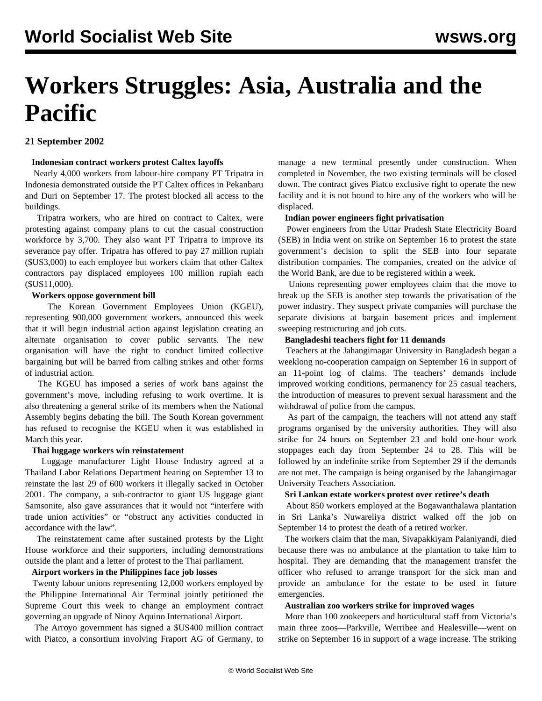# **Workers Struggles: Asia, Australia and the Pacific**

# **21 September 2002**

## **Indonesian contract workers protest Caltex layoffs**

 Nearly 4,000 workers from labour-hire company PT Tripatra in Indonesia demonstrated outside the PT Caltex offices in Pekanbaru and Duri on September 17. The protest blocked all access to the buildings.

 Tripatra workers, who are hired on contract to Caltex, were protesting against company plans to cut the casual construction workforce by 3,700. They also want PT Tripatra to improve its severance pay offer. Tripatra has offered to pay 27 million rupiah (\$US3,000) to each employee but workers claim that other Caltex contractors pay displaced employees 100 million rupiah each (\$US11,000).

## **Workers oppose government bill**

 The Korean Government Employees Union (KGEU), representing 900,000 government workers, announced this week that it will begin industrial action against legislation creating an alternate organisation to cover public servants. The new organisation will have the right to conduct limited collective bargaining but will be barred from calling strikes and other forms of industrial action.

 The KGEU has imposed a series of work bans against the government's move, including refusing to work overtime. It is also threatening a general strike of its members when the National Assembly begins debating the bill. The South Korean government has refused to recognise the KGEU when it was established in March this year.

## **Thai luggage workers win reinstatement**

 Luggage manufacturer Light House Industry agreed at a Thailand Labor Relations Department hearing on September 13 to reinstate the last 29 of 600 workers it illegally sacked in October 2001. The company, a sub-contractor to giant US luggage giant Samsonite, also gave assurances that it would not "interfere with trade union activities" or "obstruct any activities conducted in accordance with the law".

 The reinstatement came after sustained protests by the Light House workforce and their supporters, including demonstrations outside the plant and a letter of protest to the Thai parliament.

# **Airport workers in the Philippines face job losses**

 Twenty labour unions representing 12,000 workers employed by the Philippine International Air Terminal jointly petitioned the Supreme Court this week to change an employment contract governing an upgrade of Ninoy Aquino International Airport.

 The Arroyo government has signed a \$US400 million contract with Piatco, a consortium involving Fraport AG of Germany, to

manage a new terminal presently under construction. When completed in November, the two existing terminals will be closed down. The contract gives Piatco exclusive right to operate the new facility and it is not bound to hire any of the workers who will be displaced.

## **Indian power engineers fight privatisation**

 Power engineers from the Uttar Pradesh State Electricity Board (SEB) in India went on strike on September 16 to protest the state government's decision to split the SEB into four separate distribution companies. The companies, created on the advice of the World Bank, are due to be registered within a week.

 Unions representing power employees claim that the move to break up the SEB is another step towards the privatisation of the power industry. They suspect private companies will purchase the separate divisions at bargain basement prices and implement sweeping restructuring and job cuts.

#### **Bangladeshi teachers fight for 11 demands**

 Teachers at the Jahangirnagar University in Bangladesh began a weeklong no-cooperation campaign on September 16 in support of an 11-point log of claims. The teachers' demands include improved working conditions, permanency for 25 casual teachers, the introduction of measures to prevent sexual harassment and the withdrawal of police from the campus.

 As part of the campaign, the teachers will not attend any staff programs organised by the university authorities. They will also strike for 24 hours on September 23 and hold one-hour work stoppages each day from September 24 to 28. This will be followed by an indefinite strike from September 29 if the demands are not met. The campaign is being organised by the Jahangirnagar University Teachers Association.

## **Sri Lankan estate workers protest over retiree's death**

 About 850 workers employed at the Bogawanthalawa plantation in Sri Lanka's Nuwareliya district walked off the job on September 14 to protest the death of a retired worker.

 The workers claim that the man, Sivapakkiyam Palaniyandi, died because there was no ambulance at the plantation to take him to hospital. They are demanding that the management transfer the officer who refused to arrange transport for the sick man and provide an ambulance for the estate to be used in future emergencies.

## **Australian zoo workers strike for improved wages**

 More than 100 zookeepers and horticultural staff from Victoria's main three zoos—Parkville, Werribee and Healesville—went on strike on September 16 in support of a wage increase. The striking